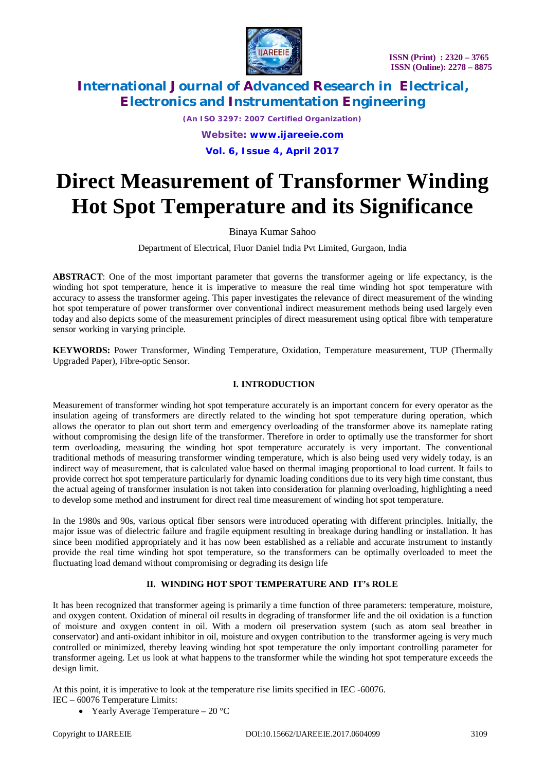

*(An ISO 3297: 2007 Certified Organization) Website: [www.ijareeie.com](http://www.ijareeie.com)* **Vol. 6, Issue 4, April 2017**

# **Direct Measurement of Transformer Winding Hot Spot Temperature and its Significance**

Binaya Kumar Sahoo

Department of Electrical, Fluor Daniel India Pvt Limited, Gurgaon, India

**ABSTRACT**: One of the most important parameter that governs the transformer ageing or life expectancy, is the winding hot spot temperature, hence it is imperative to measure the real time winding hot spot temperature with accuracy to assess the transformer ageing. This paper investigates the relevance of direct measurement of the winding hot spot temperature of power transformer over conventional indirect measurement methods being used largely even today and also depicts some of the measurement principles of direct measurement using optical fibre with temperature sensor working in varying principle.

**KEYWORDS:** Power Transformer, Winding Temperature, Oxidation, Temperature measurement, TUP (Thermally Upgraded Paper), Fibre-optic Sensor.

#### **I. INTRODUCTION**

Measurement of transformer winding hot spot temperature accurately is an important concern for every operator as the insulation ageing of transformers are directly related to the winding hot spot temperature during operation, which allows the operator to plan out short term and emergency overloading of the transformer above its nameplate rating without compromising the design life of the transformer. Therefore in order to optimally use the transformer for short term overloading, measuring the winding hot spot temperature accurately is very important. The conventional traditional methods of measuring transformer winding temperature, which is also being used very widely today, is an indirect way of measurement, that is calculated value based on thermal imaging proportional to load current. It fails to provide correct hot spot temperature particularly for dynamic loading conditions due to its very high time constant, thus the actual ageing of transformer insulation is not taken into consideration for planning overloading, highlighting a need to develop some method and instrument for direct real time measurement of winding hot spot temperature.

In the 1980s and 90s, various optical fiber sensors were introduced operating with different principles. Initially, the major issue was of dielectric failure and fragile equipment resulting in breakage during handling or installation. It has since been modified appropriately and it has now been established as a reliable and accurate instrument to instantly provide the real time winding hot spot temperature, so the transformers can be optimally overloaded to meet the fluctuating load demand without compromising or degrading its design life

### **II. WINDING HOT SPOT TEMPERATURE AND IT's ROLE**

It has been recognized that transformer ageing is primarily a time function of three parameters: temperature, moisture, and oxygen content. Oxidation of mineral oil results in degrading of transformer life and the oil oxidation is a function of moisture and oxygen content in oil. With a modern oil preservation system (such as atom seal breather in conservator) and anti-oxidant inhibitor in oil, moisture and oxygen contribution to the transformer ageing is very much controlled or minimized, thereby leaving winding hot spot temperature the only important controlling parameter for transformer ageing. Let us look at what happens to the transformer while the winding hot spot temperature exceeds the design limit.

At this point, it is imperative to look at the temperature rise limits specified in IEC -60076. IEC – 60076 Temperature Limits:

• Yearly Average Temperature –  $20^{\circ}$ C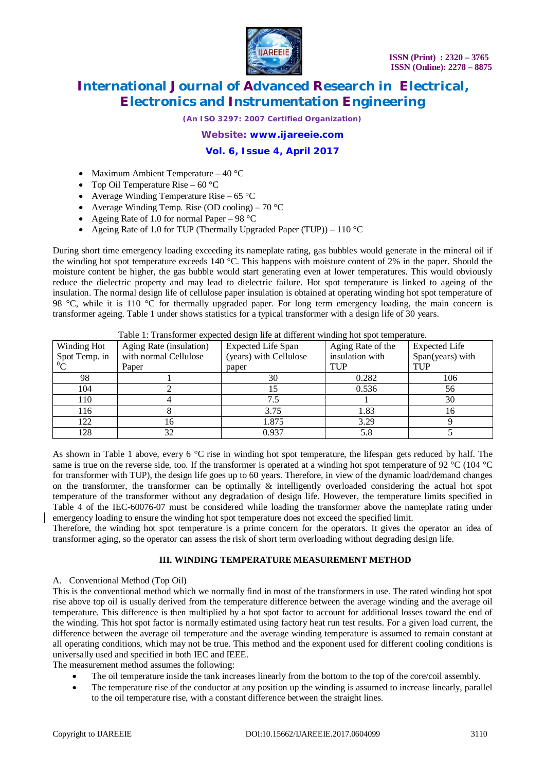

*(An ISO 3297: 2007 Certified Organization)*

*Website: [www.ijareeie.com](http://www.ijareeie.com)*

**Vol. 6, Issue 4, April 2017**

- Maximum Ambient Temperature  $40^{\circ}$ C
- Top Oil Temperature Rise  $60^{\circ}$ C
- Average Winding Temperature Rise 65 °C
- Average Winding Temp. Rise (OD cooling) 70 °C
- Ageing Rate of 1.0 for normal Paper 98  $^{\circ}$ C
- Ageing Rate of 1.0 for TUP (Thermally Upgraded Paper (TUP)) 110  $^{\circ}$ C

During short time emergency loading exceeding its nameplate rating, gas bubbles would generate in the mineral oil if the winding hot spot temperature exceeds 140 °C. This happens with moisture content of 2% in the paper. Should the moisture content be higher, the gas bubble would start generating even at lower temperatures. This would obviously reduce the dielectric property and may lead to dielectric failure. Hot spot temperature is linked to ageing of the insulation. The normal design life of cellulose paper insulation is obtained at operating winding hot spot temperature of 98 °C, while it is 110 °C for thermally upgraded paper. For long term emergency loading, the main concern is transformer ageing. Table 1 under shows statistics for a typical transformer with a design life of 30 years.

|               |                         | Table 1. Transformer expected design file at unferent willuing not spot temperature. |                   |                      |
|---------------|-------------------------|--------------------------------------------------------------------------------------|-------------------|----------------------|
| Winding Hot   | Aging Rate (insulation) | <b>Expected Life Span</b>                                                            | Aging Rate of the | <b>Expected Life</b> |
| Spot Temp. in | with normal Cellulose   | (years) with Cellulose                                                               | insulation with   | Span(years) with     |
|               | Paper                   | paper                                                                                | <b>TUP</b>        | TUP                  |
| 98            |                         | 30                                                                                   | 0.282             | 106                  |
| 104           |                         |                                                                                      | 0.536             | 56                   |
| 110           |                         |                                                                                      |                   | 30                   |
| 116           |                         | 3.75                                                                                 | 1.83              | 16                   |
| 122           | 16.                     | 1.875                                                                                | 3.29              |                      |
| 128           |                         | 0.937                                                                                | 5.8               |                      |

Table 1: Transformer expected design life at different winding hot spot temperature.

As shown in Table 1 above, every 6 °C rise in winding hot spot temperature, the lifespan gets reduced by half. The same is true on the reverse side, too. If the transformer is operated at a winding hot spot temperature of 92  $^{\circ}$ C (104  $^{\circ}$ C for transformer with TUP), the design life goes up to 60 years. Therefore, in view of the dynamic load/demand changes on the transformer, the transformer can be optimally  $\&$  intelligently overloaded considering the actual hot spot temperature of the transformer without any degradation of design life. However, the temperature limits specified in Table 4 of the IEC-60076-07 must be considered while loading the transformer above the nameplate rating under emergency loading to ensure the winding hot spot temperature does not exceed the specified limit.

Therefore, the winding hot spot temperature is a prime concern for the operators. It gives the operator an idea of transformer aging, so the operator can assess the risk of short term overloading without degrading design life.

### **III. WINDING TEMPERATURE MEASUREMENT METHOD**

#### A. Conventional Method (Top Oil)

This is the conventional method which we normally find in most of the transformers in use. The rated winding hot spot rise above top oil is usually derived from the temperature difference between the average winding and the average oil temperature. This difference is then multiplied by a hot spot factor to account for additional losses toward the end of the winding. This hot spot factor is normally estimated using factory heat run test results. For a given load current, the difference between the average oil temperature and the average winding temperature is assumed to remain constant at all operating conditions, which may not be true. This method and the exponent used for different cooling conditions is universally used and specified in both IEC and IEEE.

The measurement method assumes the following:

- The oil temperature inside the tank increases linearly from the bottom to the top of the core/coil assembly.
- The temperature rise of the conductor at any position up the winding is assumed to increase linearly, parallel to the oil temperature rise, with a constant difference between the straight lines.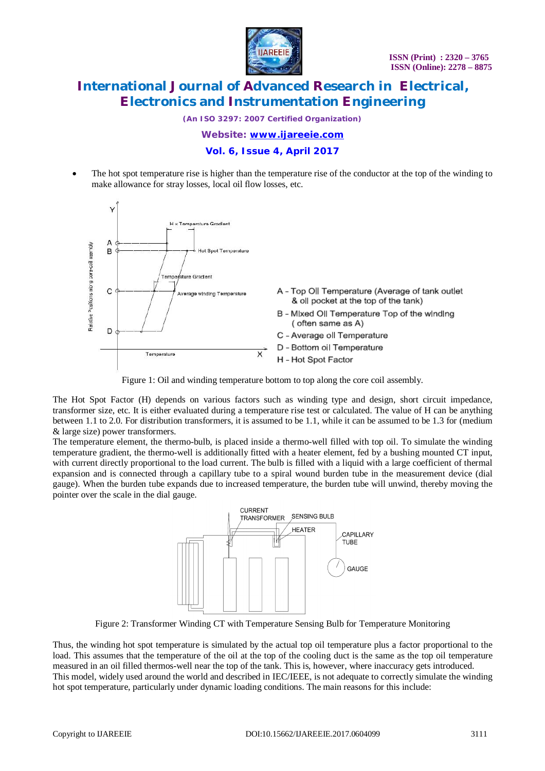

*(An ISO 3297: 2007 Certified Organization)*

*Website: [www.ijareeie.com](http://www.ijareeie.com)*

#### **Vol. 6, Issue 4, April 2017**

 The hot spot temperature rise is higher than the temperature rise of the conductor at the top of the winding to make allowance for stray losses, local oil flow losses, etc.





The Hot Spot Factor (H) depends on various factors such as winding type and design, short circuit impedance, transformer size, etc. It is either evaluated during a temperature rise test or calculated. The value of H can be anything between 1.1 to 2.0. For distribution transformers, it is assumed to be 1.1, while it can be assumed to be 1.3 for (medium & large size) power transformers.

The temperature element, the thermo-bulb, is placed inside a thermo-well filled with top oil. To simulate the winding temperature gradient, the thermo-well is additionally fitted with a heater element, fed by a bushing mounted CT input, with current directly proportional to the load current. The bulb is filled with a liquid with a large coefficient of thermal expansion and is connected through a capillary tube to a spiral wound burden tube in the measurement device (dial gauge). When the burden tube expands due to increased temperature, the burden tube will unwind, thereby moving the pointer over the scale in the dial gauge.



Figure 2: Transformer Winding CT with Temperature Sensing Bulb for Temperature Monitoring

Thus, the winding hot spot temperature is simulated by the actual top oil temperature plus a factor proportional to the load. This assumes that the temperature of the oil at the top of the cooling duct is the same as the top oil temperature measured in an oil filled thermos-well near the top of the tank. This is, however, where inaccuracy gets introduced. This model, widely used around the world and described in IEC/IEEE, is not adequate to correctly simulate the winding hot spot temperature, particularly under dynamic loading conditions. The main reasons for this include: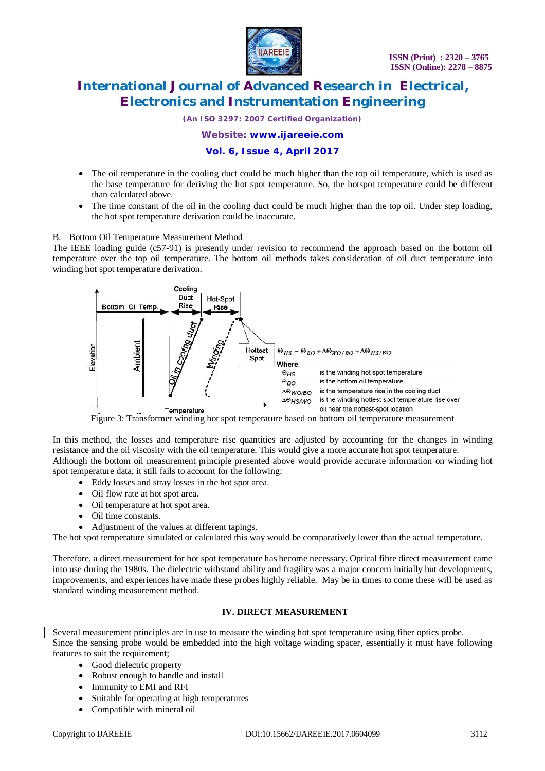

*(An ISO 3297: 2007 Certified Organization)*

*Website: [www.ijareeie.com](http://www.ijareeie.com)*

### **Vol. 6, Issue 4, April 2017**

- The oil temperature in the cooling duct could be much higher than the top oil temperature, which is used as the base temperature for deriving the hot spot temperature. So, the hotspot temperature could be different than calculated above.
- The time constant of the oil in the cooling duct could be much higher than the top oil. Under step loading, the hot spot temperature derivation could be inaccurate.

#### B. Bottom Oil Temperature Measurement Method

The IEEE loading guide (c57-91) is presently under revision to recommend the approach based on the bottom oil temperature over the top oil temperature. The bottom oil methods takes consideration of oil duct temperature into winding hot spot temperature derivation.



Figure 3: Transformer winding hot spot temperature based on bottom oil temperature measurement

In this method, the losses and temperature rise quantities are adjusted by accounting for the changes in winding resistance and the oil viscosity with the oil temperature. This would give a more accurate hot spot temperature. Although the bottom oil measurement principle presented above would provide accurate information on winding hot spot temperature data, it still fails to account for the following:

- Eddy losses and stray losses in the hot spot area.
- Oil flow rate at hot spot area.
- Oil temperature at hot spot area.
- Oil time constants.
- Adjustment of the values at different tapings.

The hot spot temperature simulated or calculated this way would be comparatively lower than the actual temperature.

Therefore, a direct measurement for hot spot temperature has become necessary. Optical fibre direct measurement came into use during the 1980s. The dielectric withstand ability and fragility was a major concern initially but developments, improvements, and experiences have made these probes highly reliable. May be in times to come these will be used as standard winding measurement method.

### **IV. DIRECT MEASUREMENT**

Several measurement principles are in use to measure the winding hot spot temperature using fiber optics probe. Since the sensing probe would be embedded into the high voltage winding spacer, essentially it must have following features to suit the requirement;

- Good dielectric property
- Robust enough to handle and install
- Immunity to EMI and RFI
- Suitable for operating at high temperatures
- Compatible with mineral oil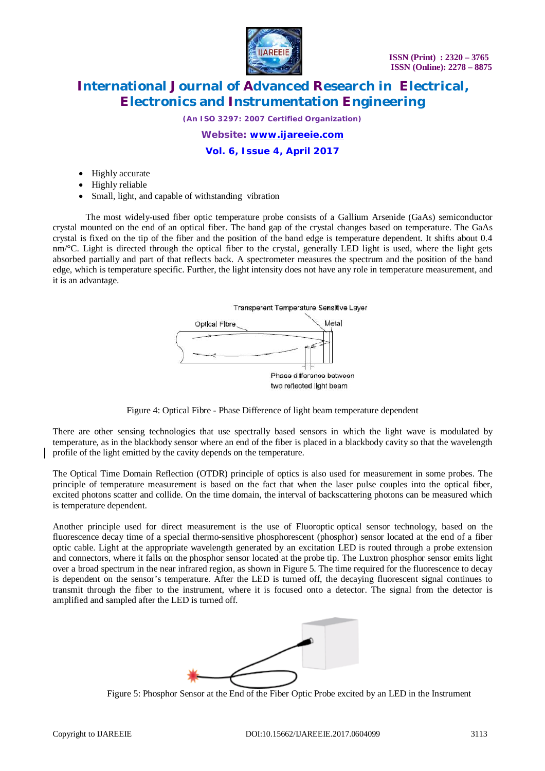

*(An ISO 3297: 2007 Certified Organization)*

*Website: [www.ijareeie.com](http://www.ijareeie.com)*

**Vol. 6, Issue 4, April 2017**

- Highly accurate
- Highly reliable
- Small, light, and capable of withstanding vibration

The most widely-used fiber optic temperature probe consists of a Gallium Arsenide (GaAs) semiconductor crystal mounted on the end of an optical fiber. The band gap of the crystal changes based on temperature. The GaAs crystal is fixed on the tip of the fiber and the position of the band edge is temperature dependent. It shifts about 0.4 nm/°C. Light is directed through the optical fiber to the crystal, generally LED light is used, where the light gets absorbed partially and part of that reflects back. A spectrometer measures the spectrum and the position of the band edge, which is temperature specific. Further, the light intensity does not have any role in temperature measurement, and it is an advantage.





There are other sensing technologies that use spectrally based sensors in which the light wave is modulated by temperature, as in the blackbody sensor where an end of the fiber is placed in a blackbody cavity so that the wavelength profile of the light emitted by the cavity depends on the temperature.

The Optical Time Domain Reflection (OTDR) principle of optics is also used for measurement in some probes. The principle of temperature measurement is based on the fact that when the laser pulse couples into the optical fiber, excited photons scatter and collide. On the time domain, the interval of backscattering photons can be measured which is temperature dependent.

Another principle used for direct measurement is the use of Fluoroptic optical sensor technology, based on the fluorescence decay time of a special thermo-sensitive phosphorescent (phosphor) sensor located at the end of a fiber optic cable. Light at the appropriate wavelength generated by an excitation LED is routed through a probe extension and connectors, where it falls on the phosphor sensor located at the probe tip. The Luxtron phosphor sensor emits light over a broad spectrum in the near infrared region, as shown in Figure 5. The time required for the fluorescence to decay is dependent on the sensor's temperature. After the LED is turned off, the decaying fluorescent signal continues to transmit through the fiber to the instrument, where it is focused onto a detector. The signal from the detector is amplified and sampled after the LED is turned off.



Figure 5: Phosphor Sensor at the End of the Fiber Optic Probe excited by an LED in the Instrument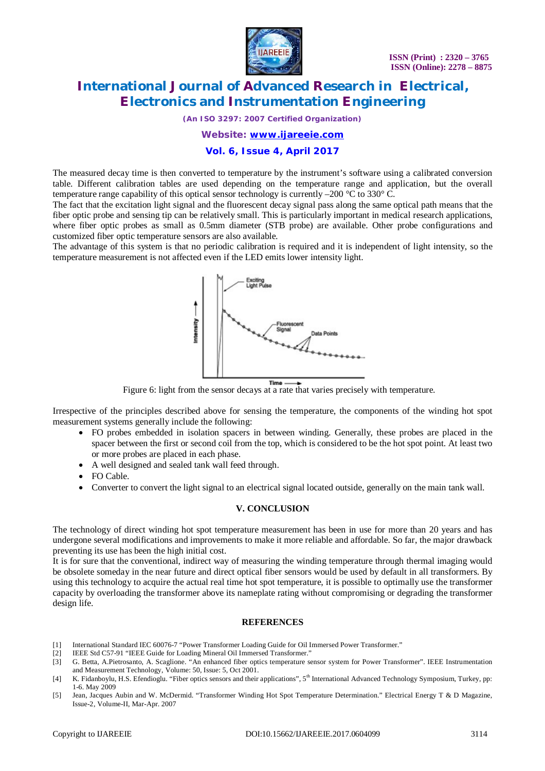

*(An ISO 3297: 2007 Certified Organization)*

*Website: [www.ijareeie.com](http://www.ijareeie.com)*

#### **Vol. 6, Issue 4, April 2017**

The measured decay time is then converted to temperature by the instrument's software using a calibrated conversion table. Different calibration tables are used depending on the temperature range and application, but the overall temperature range capability of this optical sensor technology is currently  $-200$  °C to 330° C.

The fact that the excitation light signal and the fluorescent decay signal pass along the same optical path means that the fiber optic probe and sensing tip can be relatively small. This is particularly important in medical research applications, where fiber optic probes as small as 0.5mm diameter (STB probe) are available. Other probe configurations and customized fiber optic temperature sensors are also available.

The advantage of this system is that no periodic calibration is required and it is independent of light intensity, so the temperature measurement is not affected even if the LED emits lower intensity light.



Figure 6: light from the sensor decays at a rate that varies precisely with temperature.

Irrespective of the principles described above for sensing the temperature, the components of the winding hot spot measurement systems generally include the following:

- FO probes embedded in isolation spacers in between winding. Generally, these probes are placed in the spacer between the first or second coil from the top, which is considered to be the hot spot point. At least two or more probes are placed in each phase.
- A well designed and sealed tank wall feed through.
- FO Cable.
- Converter to convert the light signal to an electrical signal located outside, generally on the main tank wall.

### **V. CONCLUSION**

The technology of direct winding hot spot temperature measurement has been in use for more than 20 years and has undergone several modifications and improvements to make it more reliable and affordable. So far, the major drawback preventing its use has been the high initial cost.

It is for sure that the conventional, indirect way of measuring the winding temperature through thermal imaging would be obsolete someday in the near future and direct optical fiber sensors would be used by default in all transformers. By using this technology to acquire the actual real time hot spot temperature, it is possible to optimally use the transformer capacity by overloading the transformer above its nameplate rating without compromising or degrading the transformer design life.

#### **REFERENCES**

- [1] International Standard IEC 60076-7 "Power Transformer Loading Guide for Oil Immersed Power Transformer."
- [2] IEEE Std C57-91 "IEEE Guide for Loading Mineral Oil Immersed Transformer."
- [3] G. Betta, A.Pietrosanto, A. Scaglione. "An enhanced fiber optics temperature sensor system for Power Transformer". IEEE Instrumentation and Measurement Technology, Volume: 50, Issue: 5, Oct 2001.
- [4] K. Fidanboylu, H.S. Efendioglu. "Fiber optics sensors and their applications", 5<sup>th</sup> International Advanced Technology Symposium, Turkey, pp: 1-6. May 2009
- [5] Jean, Jacques Aubin and W. McDermid. "Transformer Winding Hot Spot Temperature Determination." Electrical Energy T & D Magazine, Issue-2, Volume-II, Mar-Apr. 2007